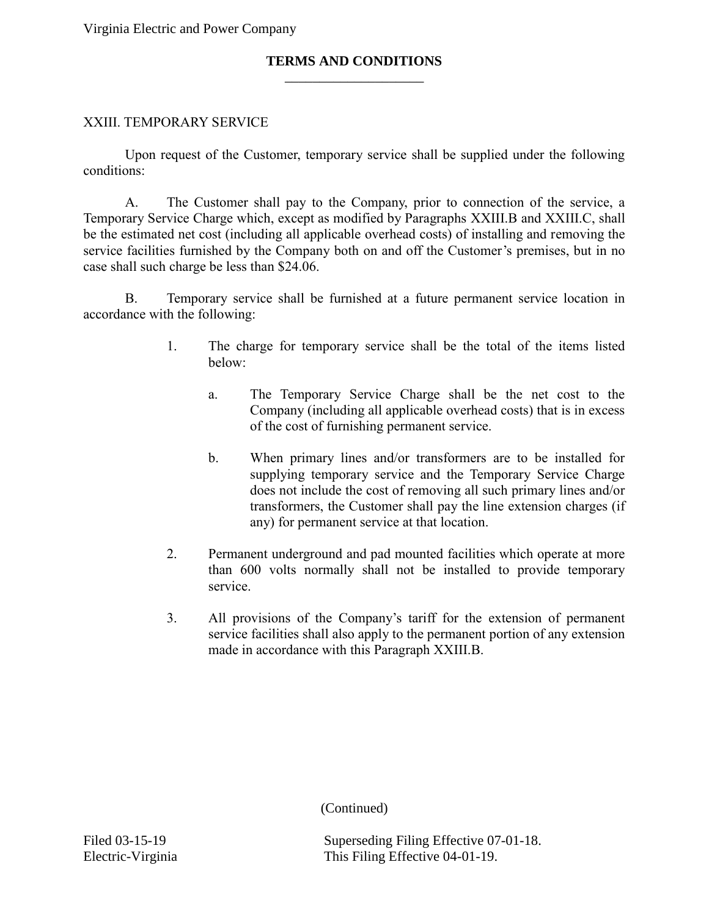Virginia Electric and Power Company

## \_\_\_\_\_\_\_\_\_\_\_\_\_\_\_\_\_\_\_\_ **TERMS AND CONDITIONS**

## XXIII. TEMPORARY SERVICE

Upon request of the Customer, temporary service shall be supplied under the following conditions:

A. The Customer shall pay to the Company, prior to connection of the service, a Temporary Service Charge which, except as modified by Paragraphs XXIII.B and XXIII.C, shall be the estimated net cost (including all applicable overhead costs) of installing and removing the service facilities furnished by the Company both on and off the Customer's premises, but in no case shall such charge be less than \$24.06.

B. Temporary service shall be furnished at a future permanent service location in accordance with the following:

- 1. The charge for temporary service shall be the total of the items listed below:
	- a. The Temporary Service Charge shall be the net cost to the Company (including all applicable overhead costs) that is in excess of the cost of furnishing permanent service.
	- b. When primary lines and/or transformers are to be installed for supplying temporary service and the Temporary Service Charge does not include the cost of removing all such primary lines and/or transformers, the Customer shall pay the line extension charges (if any) for permanent service at that location.
- 2. Permanent underground and pad mounted facilities which operate at more than 600 volts normally shall not be installed to provide temporary service.
- 3. All provisions of the Company's tariff for the extension of permanent service facilities shall also apply to the permanent portion of any extension made in accordance with this Paragraph XXIII.B.

(Continued)

Filed 03-15-19 Superseding Filing Effective 07-01-18. Electric-Virginia This Filing Effective 04-01-19.